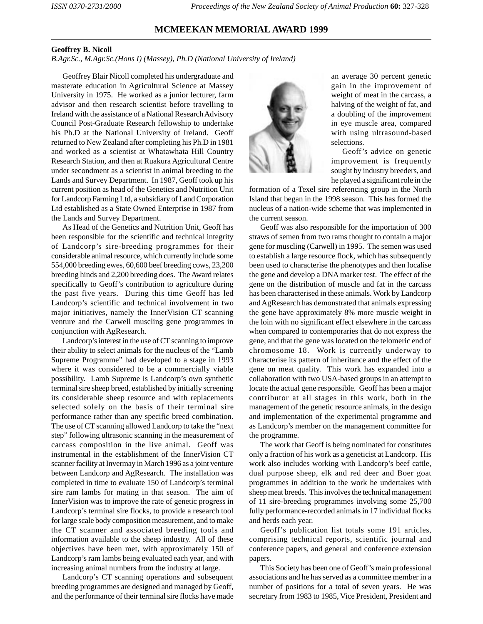## **MCMEEKAN MEMORIAL AWARD 1999**

## **Geoffrey B. Nicoll**

*B.Agr.Sc., M.Agr.Sc.(Hons I) (Massey), Ph.D (National University of Ireland)*

Geoffrey Blair Nicoll completed his undergraduate and masterate education in Agricultural Science at Massey University in 1975. He worked as a junior lecturer, farm advisor and then research scientist before travelling to Ireland with the assistance of a National Research Advisory Council Post-Graduate Research fellowship to undertake his Ph.D at the National University of Ireland. Geoff returned to New Zealand after completing his Ph.D in 1981 and worked as a scientist at Whatawhata Hill Country Research Station, and then at Ruakura Agricultural Centre under secondment as a scientist in animal breeding to the Lands and Survey Department. In 1987, Geoff took up his current position as head of the Genetics and Nutrition Unit for Landcorp Farming Ltd, a subsidiary of Land Corporation Ltd established as a State Owned Enterprise in 1987 from the Lands and Survey Department.

As Head of the Genetics and Nutrition Unit, Geoff has been responsible for the scientific and technical integrity of Landcorp's sire-breeding programmes for their considerable animal resource, which currently include some 554,000 breeding ewes, 60,600 beef breeding cows, 23,200 breeding hinds and 2,200 breeding does. The Award relates specifically to Geoff's contribution to agriculture during the past five years. During this time Geoff has led Landcorp's scientific and technical involvement in two major initiatives, namely the InnerVision CT scanning venture and the Carwell muscling gene programmes in conjunction with AgResearch.

Landcorp's interest in the use of CT scanning to improve their ability to select animals for the nucleus of the "Lamb Supreme Programme" had developed to a stage in 1993 where it was considered to be a commercially viable possibility. Lamb Supreme is Landcorp's own synthetic terminal sire sheep breed, established by initially screening its considerable sheep resource and with replacements selected solely on the basis of their terminal sire performance rather than any specific breed combination. The use of CT scanning allowed Landcorp to take the "next step" following ultrasonic scanning in the measurement of carcass composition in the live animal. Geoff was instrumental in the establishment of the InnerVision CT scanner facility at Invermay in March 1996 as a joint venture between Landcorp and AgResearch. The installation was completed in time to evaluate 150 of Landcorp's terminal sire ram lambs for mating in that season. The aim of InnerVision was to improve the rate of genetic progress in Landcorp's terminal sire flocks, to provide a research tool for large scale body composition measurement, and to make the CT scanner and associated breeding tools and information available to the sheep industry. All of these objectives have been met, with approximately 150 of Landcorp's ram lambs being evaluated each year, and with increasing animal numbers from the industry at large.

Landcorp's CT scanning operations and subsequent breeding programmes are designed and managed by Geoff, and the performance of their terminal sire flocks have made



an average 30 percent genetic gain in the improvement of weight of meat in the carcass, a halving of the weight of fat, and a doubling of the improvement in eye muscle area, compared with using ultrasound-based selections.

Geoff's advice on genetic improvement is frequently sought by industry breeders, and he played a significant role in the

formation of a Texel sire referencing group in the North Island that began in the 1998 season. This has formed the nucleus of a nation-wide scheme that was implemented in the current season.

Geoff was also responsible for the importation of 300 straws of semen from two rams thought to contain a major gene for muscling (Carwell) in 1995. The semen was used to establish a large resource flock, which has subsequently been used to characterise the phenotypes and then localise the gene and develop a DNA marker test. The effect of the gene on the distribution of muscle and fat in the carcass has been characterised in these animals. Work by Landcorp and AgResearch has demonstrated that animals expressing the gene have approximately 8% more muscle weight in the loin with no significant effect elsewhere in the carcass when compared to contemporaries that do not express the gene, and that the gene was located on the telomeric end of chromosome 18. Work is currently underway to characterise its pattern of inheritance and the effect of the gene on meat quality. This work has expanded into a collaboration with two USA-based groups in an attempt to locate the actual gene responsible. Geoff has been a major contributor at all stages in this work, both in the management of the genetic resource animals, in the design and implementation of the experimental programme and as Landcorp's member on the management committee for the programme.

The work that Geoff is being nominated for constitutes only a fraction of his work as a geneticist at Landcorp. His work also includes working with Landcorp's beef cattle, dual purpose sheep, elk and red deer and Boer goat programmes in addition to the work he undertakes with sheep meat breeds. This involves the technical management of 11 sire-breeding programmes involving some 25,700 fully performance-recorded animals in 17 individual flocks and herds each year.

Geoff's publication list totals some 191 articles, comprising technical reports, scientific journal and conference papers, and general and conference extension papers.

This Society has been one of Geoff's main professional associations and he has served as a committee member in a number of positions for a total of seven years. He was secretary from 1983 to 1985, Vice President, President and